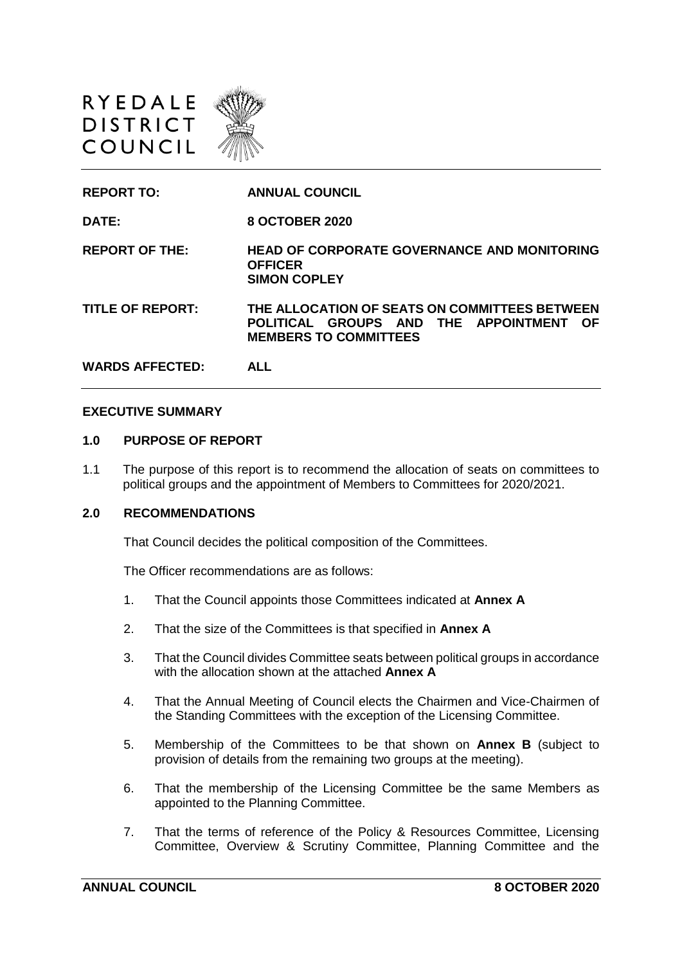



#### **EXECUTIVE SUMMARY**

#### **1.0 PURPOSE OF REPORT**

1.1 The purpose of this report is to recommend the allocation of seats on committees to political groups and the appointment of Members to Committees for 2020/2021.

#### **2.0 RECOMMENDATIONS**

That Council decides the political composition of the Committees.

The Officer recommendations are as follows:

- 1. That the Council appoints those Committees indicated at **Annex A**
- 2. That the size of the Committees is that specified in **Annex A**
- 3. That the Council divides Committee seats between political groups in accordance with the allocation shown at the attached **Annex A**
- 4. That the Annual Meeting of Council elects the Chairmen and Vice-Chairmen of the Standing Committees with the exception of the Licensing Committee.
- 5. Membership of the Committees to be that shown on **Annex B** (subject to provision of details from the remaining two groups at the meeting).
- 6. That the membership of the Licensing Committee be the same Members as appointed to the Planning Committee.
- 7. That the terms of reference of the Policy & Resources Committee, Licensing Committee, Overview & Scrutiny Committee, Planning Committee and the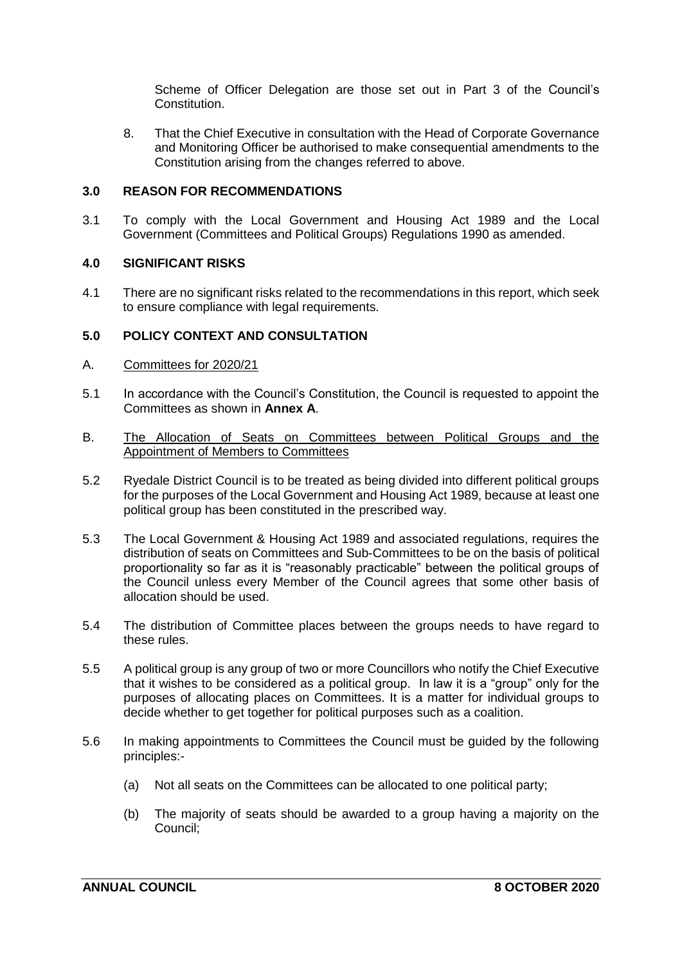Scheme of Officer Delegation are those set out in Part 3 of the Council's Constitution.

8. That the Chief Executive in consultation with the Head of Corporate Governance and Monitoring Officer be authorised to make consequential amendments to the Constitution arising from the changes referred to above.

#### **3.0 REASON FOR RECOMMENDATIONS**

3.1 To comply with the Local Government and Housing Act 1989 and the Local Government (Committees and Political Groups) Regulations 1990 as amended.

#### **4.0 SIGNIFICANT RISKS**

4.1 There are no significant risks related to the recommendations in this report, which seek to ensure compliance with legal requirements.

#### **5.0 POLICY CONTEXT AND CONSULTATION**

- A. Committees for 2020/21
- 5.1 In accordance with the Council's Constitution, the Council is requested to appoint the Committees as shown in **Annex A**.
- B. The Allocation of Seats on Committees between Political Groups and the Appointment of Members to Committees
- 5.2 Ryedale District Council is to be treated as being divided into different political groups for the purposes of the Local Government and Housing Act 1989, because at least one political group has been constituted in the prescribed way.
- 5.3 The Local Government & Housing Act 1989 and associated regulations, requires the distribution of seats on Committees and Sub-Committees to be on the basis of political proportionality so far as it is "reasonably practicable" between the political groups of the Council unless every Member of the Council agrees that some other basis of allocation should be used.
- 5.4 The distribution of Committee places between the groups needs to have regard to these rules.
- 5.5 A political group is any group of two or more Councillors who notify the Chief Executive that it wishes to be considered as a political group. In law it is a "group" only for the purposes of allocating places on Committees. It is a matter for individual groups to decide whether to get together for political purposes such as a coalition.
- 5.6 In making appointments to Committees the Council must be guided by the following principles:-
	- (a) Not all seats on the Committees can be allocated to one political party;
	- (b) The majority of seats should be awarded to a group having a majority on the Council;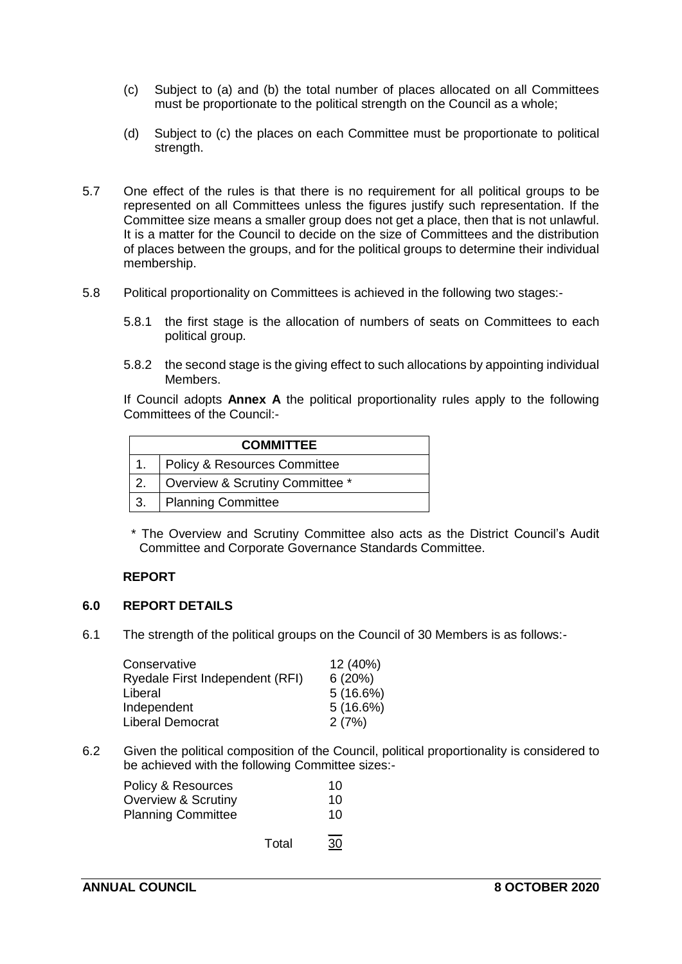- (c) Subject to (a) and (b) the total number of places allocated on all Committees must be proportionate to the political strength on the Council as a whole;
- (d) Subject to (c) the places on each Committee must be proportionate to political strength.
- 5.7 One effect of the rules is that there is no requirement for all political groups to be represented on all Committees unless the figures justify such representation. If the Committee size means a smaller group does not get a place, then that is not unlawful. It is a matter for the Council to decide on the size of Committees and the distribution of places between the groups, and for the political groups to determine their individual membership.
- 5.8 Political proportionality on Committees is achieved in the following two stages:-
	- 5.8.1 the first stage is the allocation of numbers of seats on Committees to each political group.
	- 5.8.2 the second stage is the giving effect to such allocations by appointing individual Members.

If Council adopts **Annex A** the political proportionality rules apply to the following Committees of the Council:-

| <b>COMMITTEE</b> |                                         |  |  |
|------------------|-----------------------------------------|--|--|
| $1_{-}$          | <b>Policy &amp; Resources Committee</b> |  |  |
| $\overline{2}$ . | Overview & Scrutiny Committee *         |  |  |
| $\overline{3}$ . | Planning Committee                      |  |  |

\* The Overview and Scrutiny Committee also acts as the District Council's Audit Committee and Corporate Governance Standards Committee.

#### **REPORT**

#### **6.0 REPORT DETAILS**

6.1 The strength of the political groups on the Council of 30 Members is as follows:-

| Conservative                    | 12 (40%) |
|---------------------------------|----------|
| Ryedale First Independent (RFI) | 6(20%)   |
| Liberal                         | 5(16.6%) |
| Independent                     | 5(16.6%) |
| <b>Liberal Democrat</b>         | 2(7%)    |
|                                 |          |

6.2 Given the political composition of the Council, political proportionality is considered to be achieved with the following Committee sizes:-

| Policy & Resources<br><b>Overview &amp; Scrutiny</b><br><b>Planning Committee</b> |       | 10<br>10<br>10 |
|-----------------------------------------------------------------------------------|-------|----------------|
|                                                                                   | Total | __<br>30       |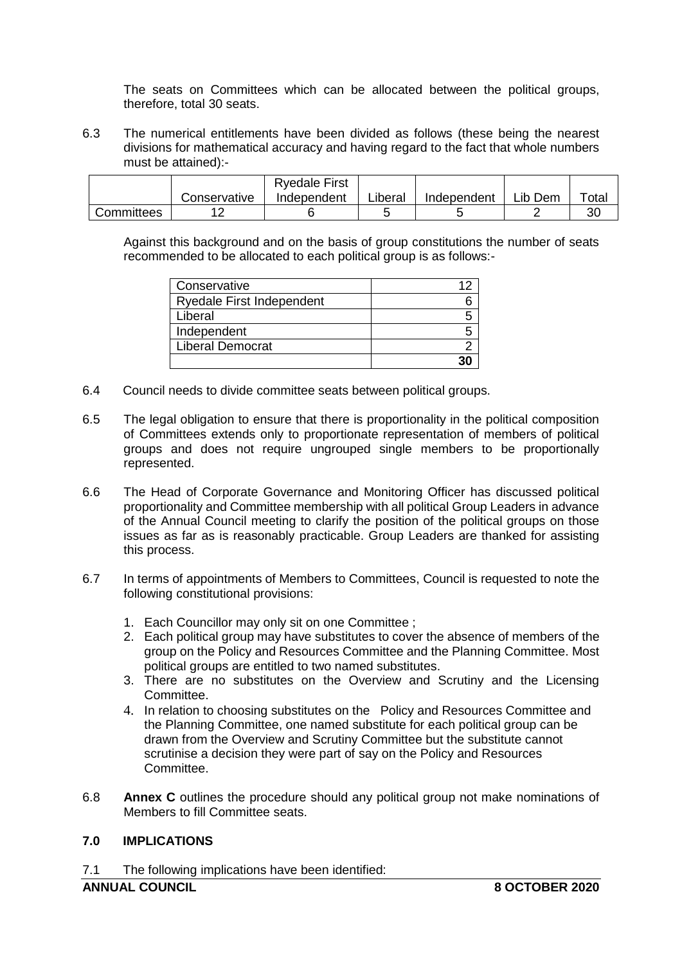The seats on Committees which can be allocated between the political groups, therefore, total 30 seats.

6.3 The numerical entitlements have been divided as follows (these being the nearest divisions for mathematical accuracy and having regard to the fact that whole numbers must be attained):-

|            |              | <b>Ryedale First</b> |         |             |         |       |
|------------|--------------|----------------------|---------|-------------|---------|-------|
|            | Conservative | Independent          | Liberal | Independent | ∟ib Dem | Total |
| Committees |              |                      |         |             |         | 30    |

Against this background and on the basis of group constitutions the number of seats recommended to be allocated to each political group is as follows:-

| Conservative              |  |
|---------------------------|--|
| Ryedale First Independent |  |
| Liberal                   |  |
| Independent               |  |
| <b>Liberal Democrat</b>   |  |
|                           |  |

- 6.4 Council needs to divide committee seats between political groups.
- 6.5 The legal obligation to ensure that there is proportionality in the political composition of Committees extends only to proportionate representation of members of political groups and does not require ungrouped single members to be proportionally represented.
- 6.6 The Head of Corporate Governance and Monitoring Officer has discussed political proportionality and Committee membership with all political Group Leaders in advance of the Annual Council meeting to clarify the position of the political groups on those issues as far as is reasonably practicable. Group Leaders are thanked for assisting this process.
- 6.7 In terms of appointments of Members to Committees, Council is requested to note the following constitutional provisions:
	- 1. Each Councillor may only sit on one Committee ;
	- 2. Each political group may have substitutes to cover the absence of members of the group on the Policy and Resources Committee and the Planning Committee. Most political groups are entitled to two named substitutes.
	- 3. There are no substitutes on the Overview and Scrutiny and the Licensing Committee.
	- 4. In relation to choosing substitutes on the Policy and Resources Committee and the Planning Committee, one named substitute for each political group can be drawn from the Overview and Scrutiny Committee but the substitute cannot scrutinise a decision they were part of say on the Policy and Resources Committee.
- 6.8 **Annex C** outlines the procedure should any political group not make nominations of Members to fill Committee seats.

## **7.0 IMPLICATIONS**

7.1 The following implications have been identified: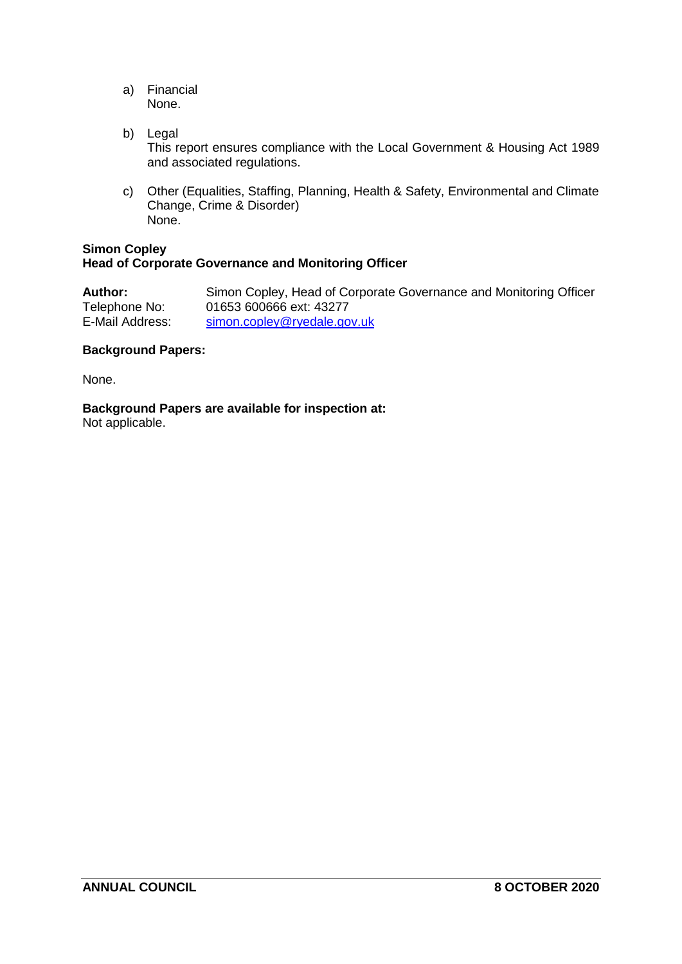- a) Financial None.
- b) Legal This report ensures compliance with the Local Government & Housing Act 1989 and associated regulations.
- c) Other (Equalities, Staffing, Planning, Health & Safety, Environmental and Climate Change, Crime & Disorder) None.

#### **Simon Copley Head of Corporate Governance and Monitoring Officer**

| Author:         | Simon Copley, Head of Corporate Governance and Monitoring Officer |
|-----------------|-------------------------------------------------------------------|
| Telephone No:   | 01653 600666 ext: 43277                                           |
| E-Mail Address: | simon.copley@ryedale.gov.uk                                       |

#### **Background Papers:**

None.

**Background Papers are available for inspection at:**

Not applicable.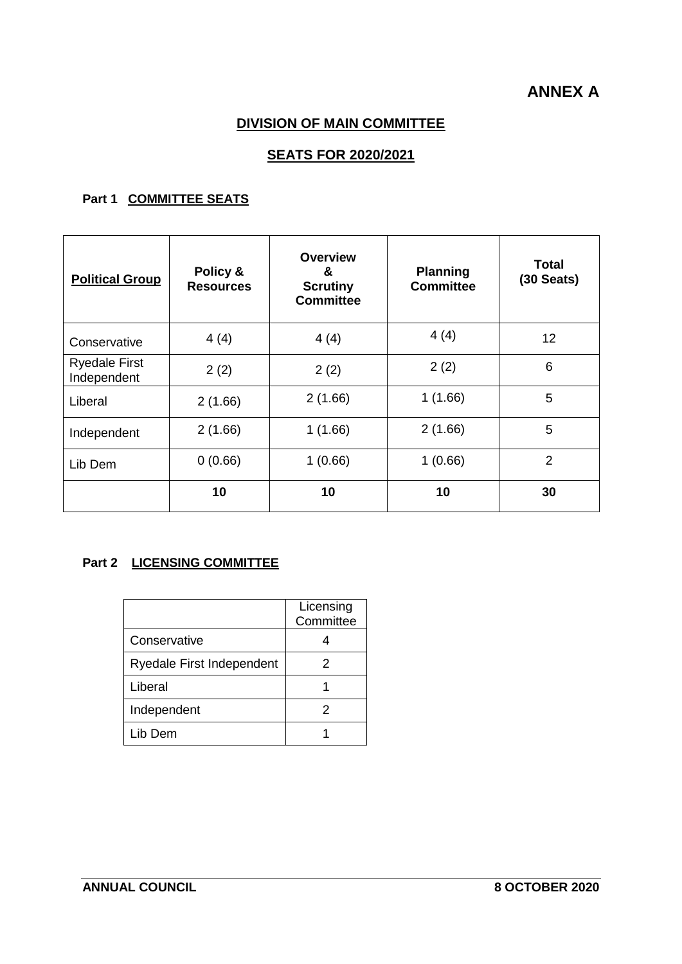# **ANNEX A**

## **DIVISION OF MAIN COMMITTEE**

## **SEATS FOR 2020/2021**

## **Part 1 COMMITTEE SEATS**

| <b>Political Group</b>              | Policy &<br><b>Resources</b> | <b>Overview</b><br>&<br><b>Scrutiny</b><br><b>Committee</b> | <b>Planning</b><br><b>Committee</b> | <b>Total</b><br>$(30$ Seats) |
|-------------------------------------|------------------------------|-------------------------------------------------------------|-------------------------------------|------------------------------|
| Conservative                        | 4(4)                         | 4(4)                                                        | 4(4)                                | 12                           |
| <b>Ryedale First</b><br>Independent | 2(2)                         | 2(2)                                                        | 2(2)                                | 6                            |
| Liberal                             | 2(1.66)                      | 2(1.66)                                                     | 1(1.66)                             | 5                            |
| Independent                         | 2(1.66)                      | 1(1.66)                                                     | 2(1.66)                             | 5                            |
| Lib Dem                             | 0(0.66)                      | 1(0.66)                                                     | 1(0.66)                             | $\overline{2}$               |
|                                     | 10                           | 10                                                          | 10                                  | 30                           |

## **Part 2 LICENSING COMMITTEE**

|                                  | Licensing<br>Committee |
|----------------------------------|------------------------|
| Conservative                     |                        |
| <b>Ryedale First Independent</b> | 2                      |
| Liberal                          |                        |
| Independent                      | 2                      |
| Lib Dem                          |                        |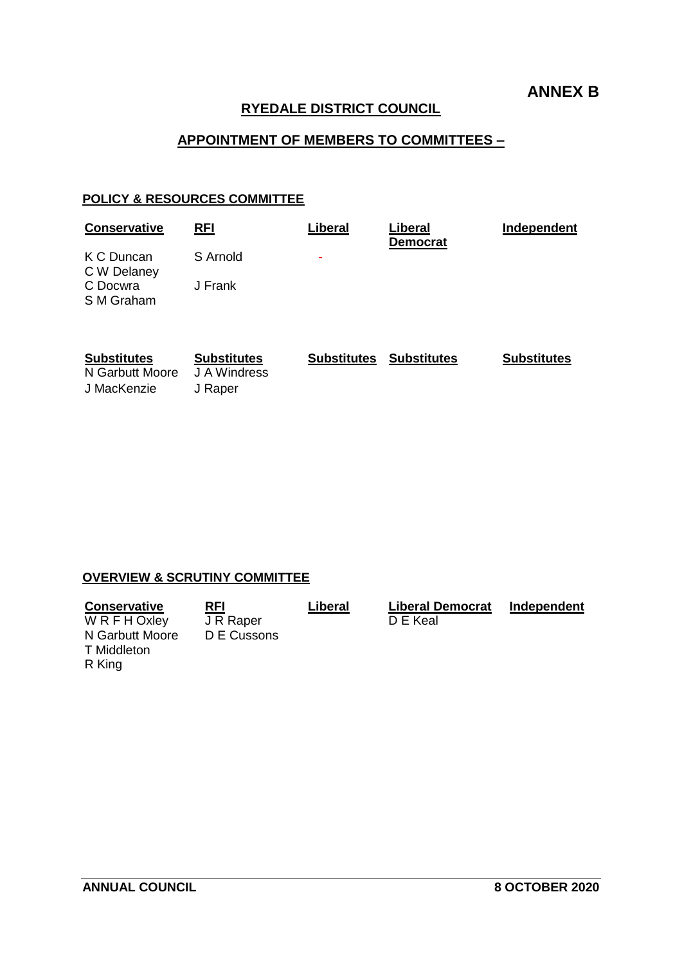## **ANNEX B**

## **RYEDALE DISTRICT COUNCIL**

## **APPOINTMENT OF MEMBERS TO COMMITTEES –**

#### **POLICY & RESOURCES COMMITTEE**

| <b>Conservative</b>       | <b>RFI</b> | Liberal | Liberal<br><b>Democrat</b> | Independent |
|---------------------------|------------|---------|----------------------------|-------------|
| K C Duncan<br>C W Delaney | S Arnold   | ٠       |                            |             |
| C Docwra<br>S M Graham    | J Frank    |         |                            |             |

| <b>Substitutes</b> | <b>Substitutes</b> | <b>Substitutes</b> | Substitutes | <b>Substitutes</b> |
|--------------------|--------------------|--------------------|-------------|--------------------|
| N Garbutt Moore    | J A Windress       |                    |             |                    |
| J MacKenzie        | J Raper            |                    |             |                    |

## **OVERVIEW & SCRUTINY COMMITTEE**

| <b>Conservative</b> | <b>RFI</b>  | Liberal | <b>Liberal Democrat</b> | Independent |
|---------------------|-------------|---------|-------------------------|-------------|
| W R F H Oxley       | J R Raper   |         | D E Keal                |             |
| N Garbutt Moore     | D E Cussons |         |                         |             |
| T Middleton         |             |         |                         |             |
| R King              |             |         |                         |             |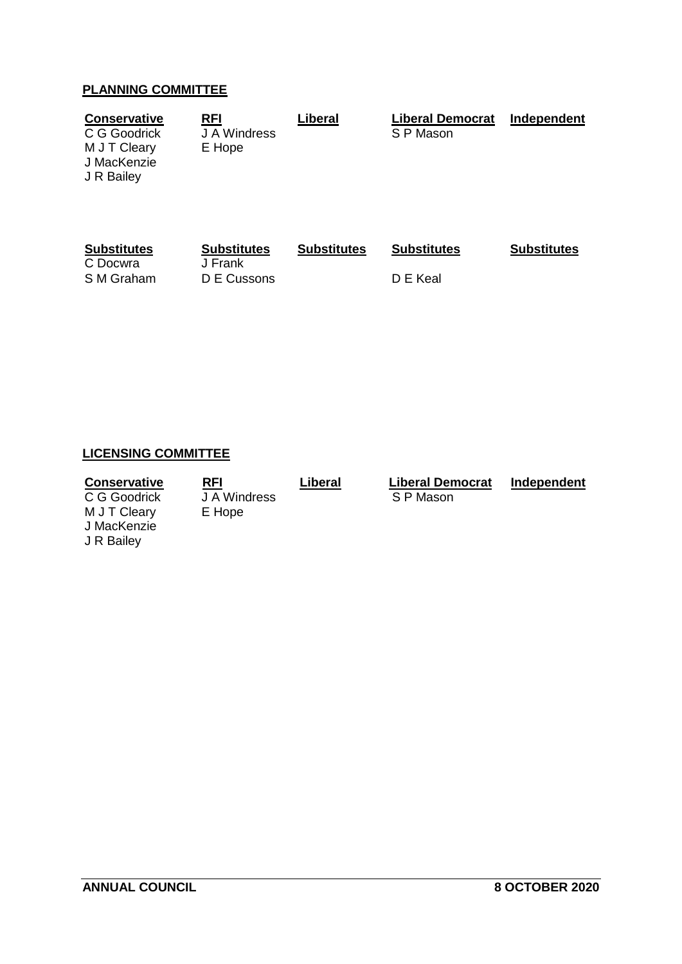## **PLANNING COMMITTEE**

| <b>Conservative</b><br>C G Goodrick<br>M J T Cleary<br>J MacKenzie<br>J R Bailey | <b>RFI</b><br>J A Windress<br>E Hope | Liberal            | <b>Liberal Democrat</b><br>S P Mason | Independent        |
|----------------------------------------------------------------------------------|--------------------------------------|--------------------|--------------------------------------|--------------------|
| <b>Substitutes</b><br>C Docwra                                                   | <b>Substitutes</b><br>J Frank        | <b>Substitutes</b> | <b>Substitutes</b>                   | <b>Substitutes</b> |

S M Graham D E Cussons D E Keal

## **LICENSING COMMITTEE**

**Conservative**<br>
C G Goodrick **Liberal
 Liberal
Democrat

Liberal
Democrat

Independent

C G Goodrick

Liber<br>
S P Mason** C G Goodrick J A Wind<br>M J T Cleary E Hope M J T Cleary J MacKenzie J R Bailey